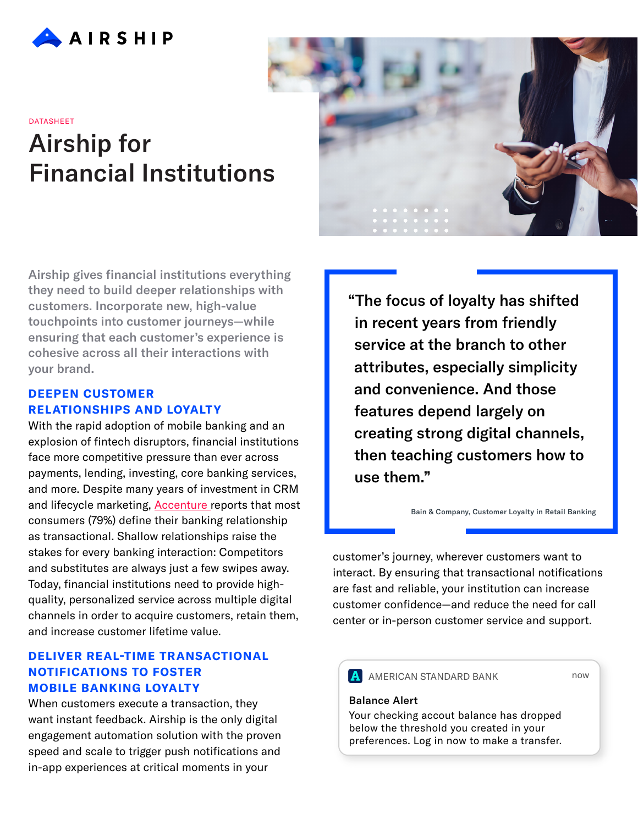

# Airship for Financial Institutions **DATASHEET**

Airship gives financial institutions everything they need to build deeper relationships with customers. Incorporate new, high-value touchpoints into customer journeys—while ensuring that each customer's experience is cohesive across all their interactions with your brand.

## **DEEPEN CUSTOMER RELATIONSHIPS AND LOYALTY**

With the rapid adoption of mobile banking and an explosion of fintech disruptors, financial institutions face more competitive pressure than ever across payments, lending, investing, core banking services, and more. Despite many years of investment in CRM and lifecycle marketing, **Accenture** reports that most consumers (79%) define their banking relationship as transactional. Shallow relationships raise the stakes for every banking interaction: Competitors and substitutes are always just a few swipes away. Today, financial institutions need to provide highquality, personalized service across multiple digital channels in order to acquire customers, retain them, and increase customer lifetime value.

# **DELIVER REAL-TIME TRANSACTIONAL NOTIFICATIONS TO FOSTER MOBILE BANKING LOYALTY**

When customers execute a transaction, they want instant feedback. Airship is the only digital engagement automation solution with the proven speed and scale to trigger push notifications and in-app experiences at critical moments in your



"The focus of loyalty has shifted in recent years from friendly service at the branch to other attributes, especially simplicity and convenience. And those features depend largely on creating strong digital channels, then teaching customers how to use them."

[Bain & Company, Customer Loyalty in Retail Banking](http://www.bain.com/publications/articles/customer-loyalty-in-retail-banking-2016.aspx)

customer's journey, wherever customers want to interact. By ensuring that transactional notifications are fast and reliable, your institution can increase customer confidence—and reduce the need for call center or in-person customer service and support.

**A** AMERICAN STANDARD BANK

now

#### Balance Alert

Your checking accout balance has dropped below the threshold you created in your preferences. Log in now to make a transfer.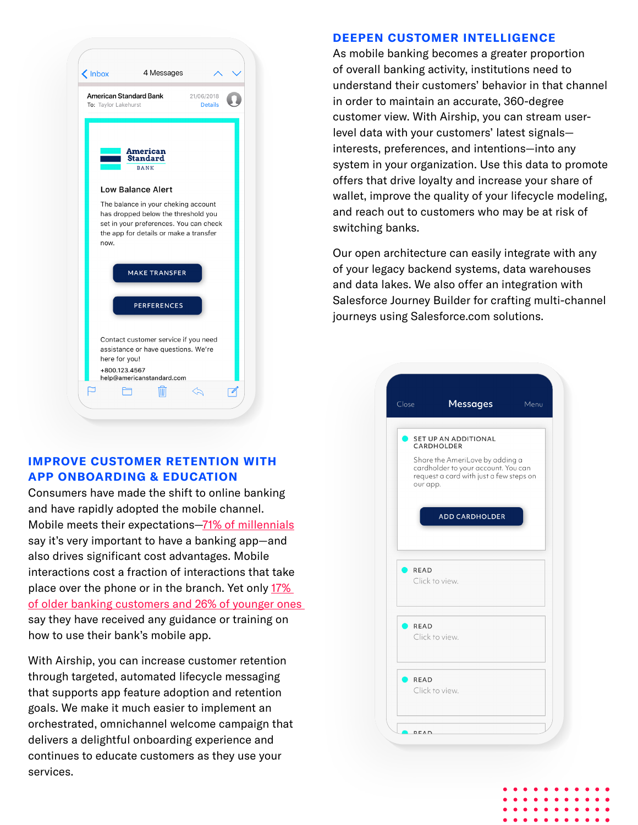

# **IMPROVE CUSTOMER RETENTION WITH APP ONBOARDING & EDUCATION**

Consumers have made the shift to online banking and have rapidly adopted the mobile channel. Mobile meets their expectations[—71% of millennials](http://www.businessinsider.com/internet-of-things-banking-retail-mobile-trends-2016-9) say it's very important to have a banking app—and also drives significant cost advantages. Mobile interactions cost a fraction of interactions that take place over the phone or in the branch. Yet only [17%](http://www.bain.com/publications/articles/bank-branch-call-center-traffic-jam.aspx)  [of older banking customers and 26% of younger ones](http://www.bain.com/publications/articles/bank-branch-call-center-traffic-jam.aspx) say they have received any guidance or training on how to use their bank's mobile app.

With Airship, you can increase customer retention through targeted, automated lifecycle messaging that supports app feature adoption and retention goals. We make it much easier to implement an orchestrated, omnichannel welcome campaign that delivers a delightful onboarding experience and continues to educate customers as they use your services.

#### **DEEPEN CUSTOMER INTELLIGENCE**

As mobile banking becomes a greater proportion of overall banking activity, institutions need to understand their customers' behavior in that channel in order to maintain an accurate, 360-degree customer view. With Airship, you can stream userlevel data with your customers' latest signals interests, preferences, and intentions—into any system in your organization. Use this data to promote offers that drive loyalty and increase your share of wallet, improve the quality of your lifecycle modeling, and reach out to customers who may be at risk of switching banks.

Our open architecture can easily integrate with any of your legacy backend systems, data warehouses and data lakes. We also offer an integration with Salesforce Journey Builder for crafting multi-channel journeys using Salesforce.com solutions.



 $\bullet$  $\bullet$  $\bullet$  $\bullet$  $\bullet$ 

 $\bullet$  $\bullet$  $\bullet$  $\bullet$  $\bullet$  $\bullet$  $\bullet$